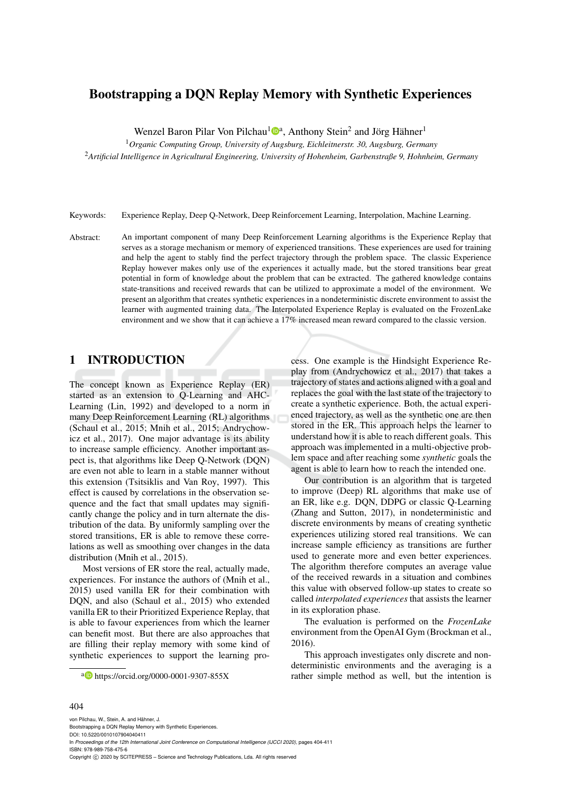## Bootstrapping a DQN Replay Memory with Synthetic Experiences

Wenzel Baron Pilar Von Pilchau<sup>1</sup><sup>®</sup>, Anthony Stein<sup>2</sup> and Jörg Hähner<sup>1</sup>

<sup>1</sup>*Organic Computing Group, University of Augsburg, Eichleitnerstr. 30, Augsburg, Germany*

<sup>2</sup>*Artificial Intelligence in Agricultural Engineering, University of Hohenheim, Garbenstraße 9, Hohnheim, Germany*

Keywords: Experience Replay, Deep Q-Network, Deep Reinforcement Learning, Interpolation, Machine Learning.

Abstract: An important component of many Deep Reinforcement Learning algorithms is the Experience Replay that serves as a storage mechanism or memory of experienced transitions. These experiences are used for training and help the agent to stably find the perfect trajectory through the problem space. The classic Experience Replay however makes only use of the experiences it actually made, but the stored transitions bear great potential in form of knowledge about the problem that can be extracted. The gathered knowledge contains state-transitions and received rewards that can be utilized to approximate a model of the environment. We present an algorithm that creates synthetic experiences in a nondeterministic discrete environment to assist the learner with augmented training data. The Interpolated Experience Replay is evaluated on the FrozenLake environment and we show that it can achieve a 17% increased mean reward compared to the classic version.

## 1 INTRODUCTION

The concept known as Experience Replay (ER) started as an extension to Q-Learning and AHC-Learning (Lin, 1992) and developed to a norm in many Deep Reinforcement Learning (RL) algorithms (Schaul et al., 2015; Mnih et al., 2015; Andrychowicz et al., 2017). One major advantage is its ability to increase sample efficiency. Another important aspect is, that algorithms like Deep Q-Network (DQN) are even not able to learn in a stable manner without this extension (Tsitsiklis and Van Roy, 1997). This effect is caused by correlations in the observation sequence and the fact that small updates may significantly change the policy and in turn alternate the distribution of the data. By uniformly sampling over the stored transitions, ER is able to remove these correlations as well as smoothing over changes in the data distribution (Mnih et al., 2015).

Most versions of ER store the real, actually made, experiences. For instance the authors of (Mnih et al., 2015) used vanilla ER for their combination with DQN, and also (Schaul et al., 2015) who extended vanilla ER to their Prioritized Experience Replay, that is able to favour experiences from which the learner can benefit most. But there are also approaches that are filling their replay memory with some kind of synthetic experiences to support the learning pro-

a https://orcid.org/0000-0001-9307-855X

cess. One example is the Hindsight Experience Replay from (Andrychowicz et al., 2017) that takes a trajectory of states and actions aligned with a goal and replaces the goal with the last state of the trajectory to create a synthetic experience. Both, the actual experienced trajectory, as well as the synthetic one are then stored in the ER. This approach helps the learner to understand how it is able to reach different goals. This approach was implemented in a multi-objective problem space and after reaching some *synthetic* goals the agent is able to learn how to reach the intended one.

Our contribution is an algorithm that is targeted to improve (Deep) RL algorithms that make use of an ER, like e.g. DQN, DDPG or classic Q-Learning (Zhang and Sutton, 2017), in nondeterministic and discrete environments by means of creating synthetic experiences utilizing stored real transitions. We can increase sample efficiency as transitions are further used to generate more and even better experiences. The algorithm therefore computes an average value of the received rewards in a situation and combines this value with observed follow-up states to create so called *interpolated experiences* that assists the learner in its exploration phase.

The evaluation is performed on the *FrozenLake* environment from the OpenAI Gym (Brockman et al., 2016).

This approach investigates only discrete and nondeterministic environments and the averaging is a rather simple method as well, but the intention is

#### 404

von Pilchau, W., Stein, A. and Hähner, J. Bootstrapping a DQN Replay Memory with Synthetic Experiences. DOI: 10.5220/0010107904040411 In *Proceedings of the 12th International Joint Conference on Computational Intelligence (IJCCI 2020)*, pages 404-411 ISBN: 978-989-758-475-6 Copyright © 2020 by SCITEPRESS - Science and Technology Publications, Lda. All rights reserved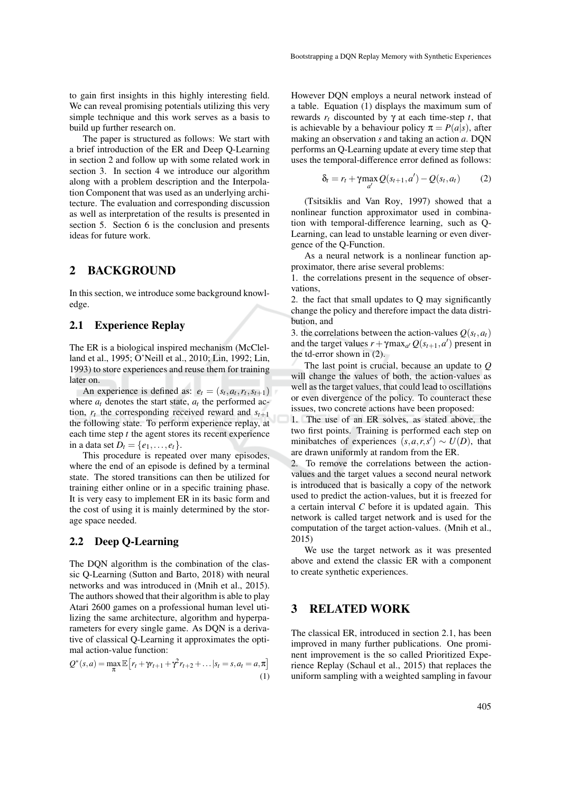to gain first insights in this highly interesting field. We can reveal promising potentials utilizing this very simple technique and this work serves as a basis to build up further research on.

The paper is structured as follows: We start with a brief introduction of the ER and Deep Q-Learning in section 2 and follow up with some related work in section 3. In section 4 we introduce our algorithm along with a problem description and the Interpolation Component that was used as an underlying architecture. The evaluation and corresponding discussion as well as interpretation of the results is presented in section 5. Section 6 is the conclusion and presents ideas for future work.

### 2 BACKGROUND

In this section, we introduce some background knowledge.

### 2.1 Experience Replay

The ER is a biological inspired mechanism (McClelland et al., 1995; O'Neill et al., 2010; Lin, 1992; Lin, 1993) to store experiences and reuse them for training later on.

An experience is defined as:  $e_t = (s_t, a_t, r_t, s_{t+1})$ where  $a_t$  denotes the start state,  $a_t$  the performed action,  $r_t$  the corresponding received reward and  $s_{t+1}$ the following state. To perform experience replay, at each time step *t* the agent stores its recent experience in a data set  $D_t = \{e_1, ..., e_t\}.$ 

This procedure is repeated over many episodes, where the end of an episode is defined by a terminal state. The stored transitions can then be utilized for training either online or in a specific training phase. It is very easy to implement ER in its basic form and the cost of using it is mainly determined by the storage space needed.

### 2.2 Deep Q-Learning

The DQN algorithm is the combination of the classic Q-Learning (Sutton and Barto, 2018) with neural networks and was introduced in (Mnih et al., 2015). The authors showed that their algorithm is able to play Atari 2600 games on a professional human level utilizing the same architecture, algorithm and hyperparameters for every single game. As DQN is a derivative of classical Q-Learning it approximates the optimal action-value function:

$$
Q^*(s, a) = \max_{\pi} \mathbb{E}\left[r_t + \gamma r_{t+1} + \gamma^2 r_{t+2} + \dots | s_t = s, a_t = a, \pi\right]
$$
\n(1)

However DQN employs a neural network instead of a table. Equation (1) displays the maximum sum of rewards *r<sup>t</sup>* discounted by γ at each time-step *t*, that is achievable by a behaviour policy  $\pi = P(a|s)$ , after making an observation *s* and taking an action *a*. DQN performs an Q-Learning update at every time step that uses the temporal-difference error defined as follows:

$$
\delta_t = r_t + \gamma \max_{a'} Q(s_{t+1}, a') - Q(s_t, a_t)
$$
 (2)

(Tsitsiklis and Van Roy, 1997) showed that a nonlinear function approximator used in combination with temporal-difference learning, such as Q-Learning, can lead to unstable learning or even divergence of the Q-Function.

As a neural network is a nonlinear function approximator, there arise several problems:

1. the correlations present in the sequence of observations,

2. the fact that small updates to Q may significantly change the policy and therefore impact the data distribution, and

3. the correlations between the action-values  $Q(s_t, a_t)$ and the target values  $r + \gamma \max_{a'} Q(s_{t+1}, a')$  present in the td-error shown in (2).

The last point is crucial, because an update to *Q* will change the values of both, the action-values as well as the target values, that could lead to oscillations or even divergence of the policy. To counteract these issues, two concrete actions have been proposed:

1. The use of an ER solves, as stated above, the two first points. Training is performed each step on minibatches of experiences  $(s, a, r, s') \sim U(D)$ , that are drawn uniformly at random from the ER.

2. To remove the correlations between the actionvalues and the target values a second neural network is introduced that is basically a copy of the network used to predict the action-values, but it is freezed for a certain interval *C* before it is updated again. This network is called target network and is used for the computation of the target action-values. (Mnih et al., 2015)

We use the target network as it was presented above and extend the classic ER with a component to create synthetic experiences.

## 3 RELATED WORK

The classical ER, introduced in section 2.1, has been improved in many further publications. One prominent improvement is the so called Prioritized Experience Replay (Schaul et al., 2015) that replaces the uniform sampling with a weighted sampling in favour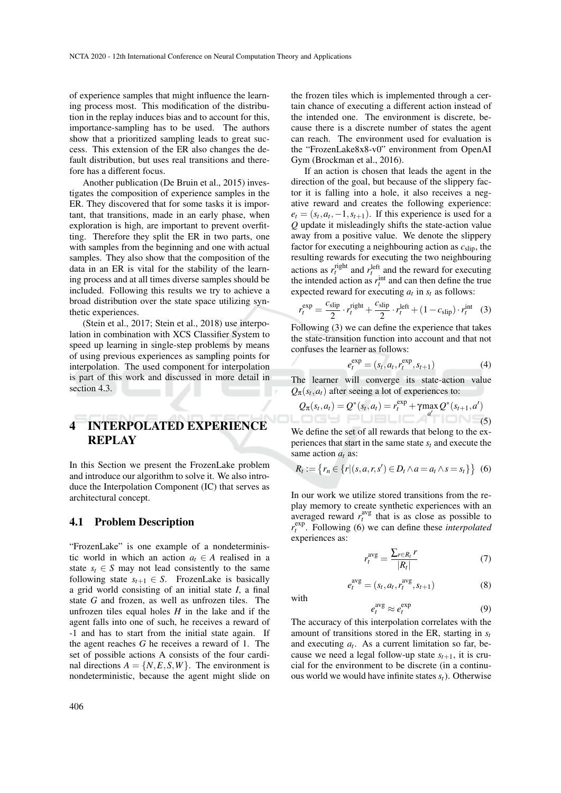of experience samples that might influence the learning process most. This modification of the distribution in the replay induces bias and to account for this, importance-sampling has to be used. The authors show that a prioritized sampling leads to great success. This extension of the ER also changes the default distribution, but uses real transitions and therefore has a different focus.

Another publication (De Bruin et al., 2015) investigates the composition of experience samples in the ER. They discovered that for some tasks it is important, that transitions, made in an early phase, when exploration is high, are important to prevent overfitting. Therefore they split the ER in two parts, one with samples from the beginning and one with actual samples. They also show that the composition of the data in an ER is vital for the stability of the learning process and at all times diverse samples should be included. Following this results we try to achieve a broad distribution over the state space utilizing synthetic experiences.

(Stein et al., 2017; Stein et al., 2018) use interpolation in combination with XCS Classifier System to speed up learning in single-step problems by means of using previous experiences as sampling points for interpolation. The used component for interpolation is part of this work and discussed in more detail in section 4.3.

# 4 INTERPOLATED EXPERIENCE **REPLAY**

In this Section we present the FrozenLake problem and introduce our algorithm to solve it. We also introduce the Interpolation Component (IC) that serves as architectural concept.

#### 4.1 Problem Description

"FrozenLake" is one example of a nondeterministic world in which an action  $a_t \in A$  realised in a state  $s_t \in S$  may not lead consistently to the same following state  $s_{t+1} \in S$ . FrozenLake is basically a grid world consisting of an initial state *I*, a final state *G* and frozen, as well as unfrozen tiles. The unfrozen tiles equal holes  $H$  in the lake and if the agent falls into one of such, he receives a reward of -1 and has to start from the initial state again. If the agent reaches *G* he receives a reward of 1. The set of possible actions A consists of the four cardinal directions  $A = \{N, E, S, W\}$ . The environment is nondeterministic, because the agent might slide on

the frozen tiles which is implemented through a certain chance of executing a different action instead of the intended one. The environment is discrete, because there is a discrete number of states the agent can reach. The environment used for evaluation is the "FrozenLake8x8-v0" environment from OpenAI Gym (Brockman et al., 2016).

If an action is chosen that leads the agent in the direction of the goal, but because of the slippery factor it is falling into a hole, it also receives a negative reward and creates the following experience:  $e_t = (s_t, a_t, -1, s_{t+1})$ . If this experience is used for a *Q* update it misleadingly shifts the state-action value away from a positive value. We denote the slippery factor for executing a neighbouring action as *c*slip, the resulting rewards for executing the two neighbouring actions as  $r_t^{\text{right}}$  and  $r_t^{\text{left}}$  and the reward for executing the intended action as  $r_t^{\text{int}}$  and can then define the true expected reward for executing  $a_t$  in  $s_t$  as follows:

$$
r_t^{\exp} = \frac{c_{\text{slip}}}{2} \cdot r_t^{\text{right}} + \frac{c_{\text{slip}}}{2} \cdot r_t^{\text{left}} + (1 - c_{\text{slip}}) \cdot r_t^{\text{int}} \quad (3)
$$

Following (3) we can define the experience that takes the state-transition function into account and that not confuses the learner as follows:

$$
e_t^{\exp} = (s_t, a_t, r_t^{\exp}, s_{t+1})
$$
 (4)

The learner will converge its state-action value  $Q_{\pi}(s_t, a_t)$  after seeing a lot of experiences to:

$$
Q_{\pi}(s_t, a_t) = Q^*(s_t, a_t) = r_t^{\exp} + \gamma \max_{a'} Q^*(s_{t+1}, a')
$$
\n(5)

We define the set of all rewards that belong to the experiences that start in the same state *s<sup>t</sup>* and execute the same action *a<sup>t</sup>* as:

$$
R_t := \{r_n \in \{r | (s, a, r, s') \in D_t \land a = a_t \land s = s_t\}\} \quad (6)
$$

In our work we utilize stored transitions from the replay memory to create synthetic experiences with an averaged reward  $r_t^{\text{avg}}$  that is as close as possible to  $r_t^{\text{exp}}$ . Following (6) we can define these *interpolated* experiences as:

$$
r_t^{\text{avg}} = \frac{\sum_{r \in R_t} r}{|R_t|} \tag{7}
$$

$$
e_t^{\text{avg}} = (s_t, a_t, r_t^{\text{avg}}, s_{t+1})
$$
 (8)

with

$$
e_t^{\text{avg}} \approx e_t^{\text{exp}} \tag{9}
$$

The accuracy of this interpolation correlates with the amount of transitions stored in the ER, starting in *s<sup>t</sup>* and executing  $a_t$ . As a current limitation so far, because we need a legal follow-up state  $s_{t+1}$ , it is crucial for the environment to be discrete (in a continuous world we would have infinite states *st*). Otherwise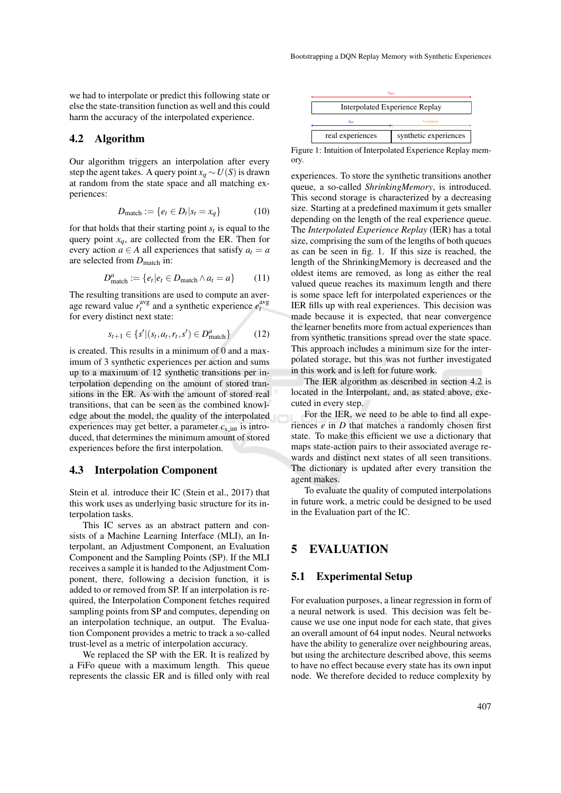we had to interpolate or predict this following state or else the state-transition function as well and this could harm the accuracy of the interpolated experience.

#### 4.2 Algorithm

Our algorithm triggers an interpolation after every step the agent takes. A query point  $x_q \sim U(S)$  is drawn at random from the state space and all matching experiences:

$$
D_{\text{match}} := \{e_t \in D_t | s_t = x_q\} \tag{10}
$$

for that holds that their starting point *s<sup>t</sup>* is equal to the query point  $x_q$ , are collected from the ER. Then for every action  $a \in A$  all experiences that satisfy  $a_t = a$ are selected from  $D_{match}$  in:

$$
D_{\text{match}}^a := \{e_t | e_t \in D_{\text{match}} \land a_t = a\} \tag{11}
$$

The resulting transitions are used to compute an average reward value  $r_t^{\text{avg}}$  and a synthetic experience  $e_t^{\text{avg}}$ for every distinct next state:

$$
s_{t+1} \in \{s' \mid (s_t, a_t, r_t, s') \in D_{\text{match}}^a\} \tag{12}
$$

is created. This results in a minimum of 0 and a maximum of 3 synthetic experiences per action and sums up to a maximum of 12 synthetic transitions per interpolation depending on the amount of stored transitions in the ER. As with the amount of stored real transitions, that can be seen as the combined knowledge about the model, the quality of the interpolated experiences may get better, a parameter  $c_{s,int}$  is introduced, that determines the minimum amount of stored experiences before the first interpolation.

### 4.3 Interpolation Component

Stein et al. introduce their IC (Stein et al., 2017) that this work uses as underlying basic structure for its interpolation tasks.

This IC serves as an abstract pattern and consists of a Machine Learning Interface (MLI), an Interpolant, an Adjustment Component, an Evaluation Component and the Sampling Points (SP). If the MLI receives a sample it is handed to the Adjustment Component, there, following a decision function, it is added to or removed from SP. If an interpolation is required, the Interpolation Component fetches required sampling points from SP and computes, depending on an interpolation technique, an output. The Evaluation Component provides a metric to track a so-called trust-level as a metric of interpolation accuracy.

We replaced the SP with the ER. It is realized by a FiFo queue with a maximum length. This queue represents the classic ER and is filled only with real



Figure 1: Intuition of Interpolated Experience Replay memory.

experiences. To store the synthetic transitions another queue, a so-called *ShrinkingMemory*, is introduced. This second storage is characterized by a decreasing size. Starting at a predefined maximum it gets smaller depending on the length of the real experience queue. The *Interpolated Experience Replay* (IER) has a total size, comprising the sum of the lengths of both queues as can be seen in fig. 1. If this size is reached, the length of the ShrinkingMemory is decreased and the oldest items are removed, as long as either the real valued queue reaches its maximum length and there is some space left for interpolated experiences or the IER fills up with real experiences. This decision was made because it is expected, that near convergence the learner benefits more from actual experiences than from synthetic transitions spread over the state space. This approach includes a minimum size for the interpolated storage, but this was not further investigated in this work and is left for future work.

The IER algorithm as described in section 4.2 is located in the Interpolant, and, as stated above, executed in every step.

For the IER, we need to be able to find all experiences *e* in *D* that matches a randomly chosen first state. To make this efficient we use a dictionary that maps state-action pairs to their associated average rewards and distinct next states of all seen transitions. The dictionary is updated after every transition the agent makes.

To evaluate the quality of computed interpolations in future work, a metric could be designed to be used in the Evaluation part of the IC.

## 5 EVALUATION

#### 5.1 Experimental Setup

For evaluation purposes, a linear regression in form of a neural network is used. This decision was felt because we use one input node for each state, that gives an overall amount of 64 input nodes. Neural networks have the ability to generalize over neighbouring areas, but using the architecture described above, this seems to have no effect because every state has its own input node. We therefore decided to reduce complexity by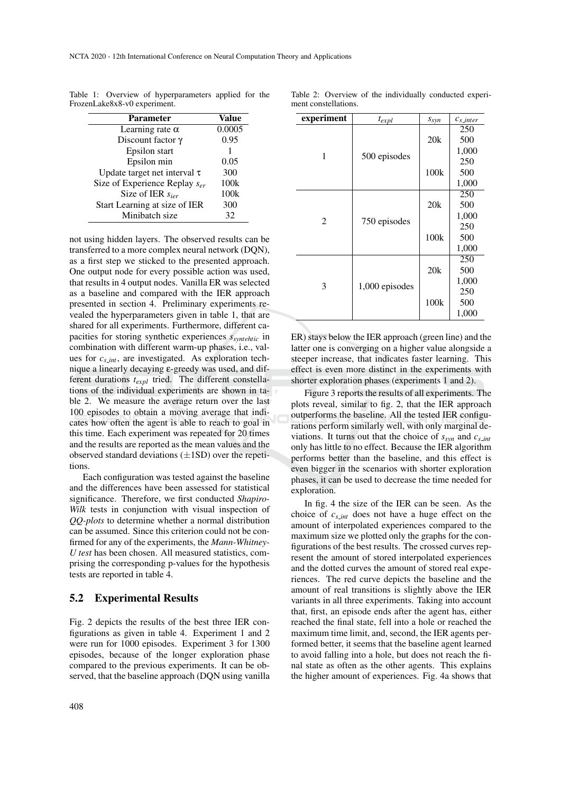Table 1: Overview of hyperparameters applied for the FrozenLake8x8-v0 experiment.

| <b>Parameter</b>                   | Value  |
|------------------------------------|--------|
| Learning rate $\alpha$             | 0.0005 |
| Discount factor $\gamma$           | 0.95   |
| Epsilon start                      |        |
| Epsilon min                        | 0.05   |
| Update target net interval $\tau$  | 300    |
| Size of Experience Replay $s_{er}$ | 100k   |
| Size of IER $s_{\text{ier}}$       | 100k   |
| Start Learning at size of IER      | 300    |
| Minibatch size                     | 32     |

not using hidden layers. The observed results can be transferred to a more complex neural network (DQN), as a first step we sticked to the presented approach. One output node for every possible action was used, that results in 4 output nodes. Vanilla ER was selected as a baseline and compared with the IER approach presented in section 4. Preliminary experiments revealed the hyperparameters given in table 1, that are shared for all experiments. Furthermore, different capacities for storing synthetic experiences *ssyntehtic* in combination with different warm-up phases, i.e., values for *c<sup>s</sup> int*, are investigated. As exploration technique a linearly decaying ε-greedy was used, and different durations *texpl* tried. The different constellations of the individual experiments are shown in table 2. We measure the average return over the last 100 episodes to obtain a moving average that indicates how often the agent is able to reach to goal in this time. Each experiment was repeated for 20 times and the results are reported as the mean values and the observed standard deviations  $(\pm 1SD)$  over the repetitions.

Each configuration was tested against the baseline and the differences have been assessed for statistical significance. Therefore, we first conducted *Shapiro-Wilk* tests in conjunction with visual inspection of *QQ-plots* to determine whether a normal distribution can be assumed. Since this criterion could not be confirmed for any of the experiments, the *Mann-Whitney-U test* has been chosen. All measured statistics, comprising the corresponding p-values for the hypothesis tests are reported in table 4.

### 5.2 Experimental Results

Fig. 2 depicts the results of the best three IER configurations as given in table 4. Experiment 1 and 2 were run for 1000 episodes. Experiment 3 for 1300 episodes, because of the longer exploration phase compared to the previous experiments. It can be observed, that the baseline approach (DQN using vanilla

| experiment     | $t_{expl}$     | $s_{syn}$ | $c_{s\_inter}$      |
|----------------|----------------|-----------|---------------------|
| 1              |                | 20k       | 250<br>500<br>1,000 |
|                | 500 episodes   | 100k      | 250<br>500<br>1,000 |
| $\overline{2}$ |                | 20k       | 250<br>500<br>1,000 |
|                | 750 episodes   | 100k      | 250<br>500<br>1,000 |
| 3              |                | 20k       | 250<br>500<br>1,000 |
|                | 1,000 episodes | 100k      | 250<br>500<br>1,000 |

Table 2: Overview of the individually conducted experiment constellations.

ER) stays below the IER approach (green line) and the latter one is converging on a higher value alongside a steeper increase, that indicates faster learning. This effect is even more distinct in the experiments with shorter exploration phases (experiments 1 and 2).

Figure 3 reports the results of all experiments. The plots reveal, similar to fig. 2, that the IER approach outperforms the baseline. All the tested IER configurations perform similarly well, with only marginal deviations. It turns out that the choice of  $s_{syn}$  and  $c_{s,int}$ only has little to no effect. Because the IER algorithm performs better than the baseline, and this effect is even bigger in the scenarios with shorter exploration phases, it can be used to decrease the time needed for exploration.

In fig. 4 the size of the IER can be seen. As the choice of *c<sup>s</sup> int* does not have a huge effect on the amount of interpolated experiences compared to the maximum size we plotted only the graphs for the configurations of the best results. The crossed curves represent the amount of stored interpolated experiences and the dotted curves the amount of stored real experiences. The red curve depicts the baseline and the amount of real transitions is slightly above the IER variants in all three experiments. Taking into account that, first, an episode ends after the agent has, either reached the final state, fell into a hole or reached the maximum time limit, and, second, the IER agents performed better, it seems that the baseline agent learned to avoid falling into a hole, but does not reach the final state as often as the other agents. This explains the higher amount of experiences. Fig. 4a shows that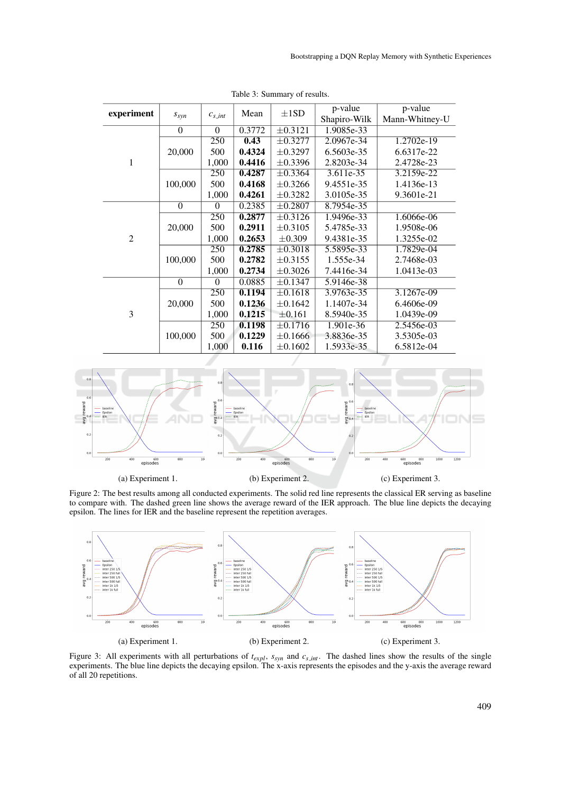| experiment     | $S_{syn}$        | $c_{s\_int}$ | Mean   | $\pm$ 1SD               | p-value<br>Shapiro-Wilk | p-value<br>Mann-Whitney-U |
|----------------|------------------|--------------|--------|-------------------------|-------------------------|---------------------------|
|                | $\theta$         | $\theta$     | 0.3772 | $\pm 0.3121$            | 1.9085e-33              |                           |
|                |                  | 250          | 0.43   | $\pm 0.3277$            | 2.0967e-34              | 1.2702e-19                |
|                | 20,000           | 500          | 0.4324 | $\pm 0.3297$            | 6.5603e-35              | 6.6317e-22                |
| 1              |                  | 1,000        | 0.4416 | $\pm 0.3396$            | 2.8203e-34              | 2.4728e-23                |
|                |                  | 250          | 0.4287 | $\pm 0.3364$            | $3.611e-35$             | 3.2159e-22                |
|                | 100,000          | 500          | 0.4168 | $\pm 0.3266$            | 9.4551e-35              | 1.4136e-13                |
|                |                  | 1,000        | 0.4261 | $\pm 0.3282$            | 3.0105e-35              | 9.3601e-21                |
| $\overline{2}$ | $\theta$         | $\theta$     | 0.2385 | $\pm 0.2807$            | 8.7954e-35              |                           |
|                |                  | 250          | 0.2877 | $\overline{\pm 0.3126}$ | 1.9496e-33              | 1.6066e-06                |
|                | 20,000           | 500          | 0.2911 | $\pm 0.3105$            | 5.4785e-33              | 1.9508e-06                |
|                |                  | 1,000        | 0.2653 | $\pm 0.309$             | 9.4381e-35              | 1.3255e-02                |
|                |                  | 250          | 0.2785 | $\pm 0.3018$            | 5.5895e-33              | 1.7829e-04                |
|                | 100,000          | 500          | 0.2782 | $\pm 0.3155$            | 1.555e-34               | 2.7468e-03                |
|                |                  | 1,000        | 0.2734 | $\pm 0.3026$            | 7.4416e-34              | 1.0413e-03                |
| 3              | $\boldsymbol{0}$ | $\theta$     | 0.0885 | $\pm 0.1347$            | 5.9146e-38              |                           |
|                |                  | 250          | 0.1194 | $\pm 0.1618$            | 3.9763e-35              | 3.1267e-09                |
|                | 20,000           | 500          | 0.1236 | $\pm 0.1642$            | 1.1407e-34              | 6.4606e-09                |
|                |                  | 1,000        | 0.1215 | $\pm 0.161$             | 8.5940e-35              | 1.0439e-09                |
|                |                  | 250          | 0.1198 | $\pm 0.1716$            | 1.901e-36               | 2.5456e-03                |
|                | 100,000          | 500          | 0.1229 | $\pm 0.1666$            | 3.8836e-35              | 3.5305e-03                |
|                |                  | 1,000        | 0.116  | $\pm 0.1602$            | 1.5933e-35              | 6.5812e-04                |

Table 3: Summary of results.



Figure 2: The best results among all conducted experiments. The solid red line represents the classical ER serving as baseline to compare with. The dashed green line shows the average reward of the IER approach. The blue line depicts the decaying epsilon. The lines for IER and the baseline represent the repetition averages.



Figure 3: All experiments with all perturbations of  $t_{expl}$ ,  $s_{syn}$  and  $c_{s,int}$ . The dashed lines show the results of the single experiments. The blue line depicts the decaying epsilon. The x-axis represents the episodes and the y-axis the average reward of all 20 repetitions.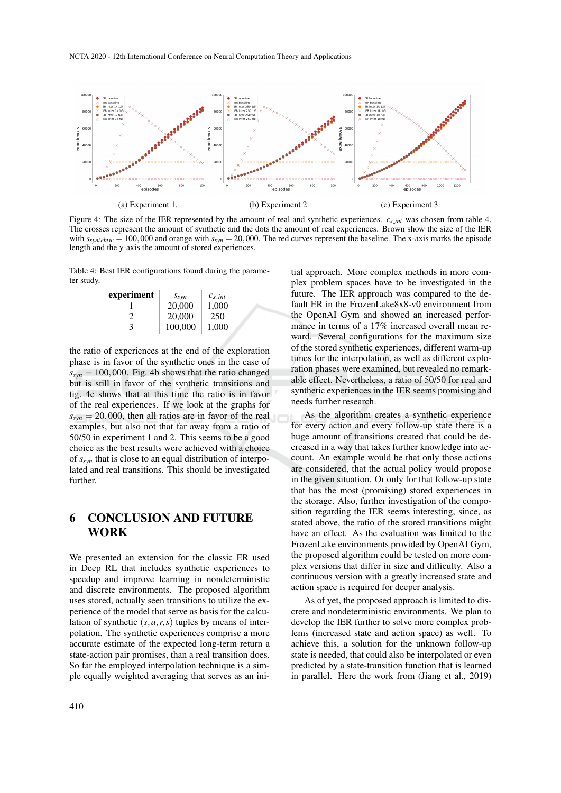

Figure 4: The size of the IER represented by the amount of real and synthetic experiences.  $c_{s,int}$  was chosen from table 4. The crosses represent the amount of synthetic and the dots the amount of real experiences. Brown show the size of the IER with  $s_{synthetic} = 100,000$  and orange with  $s_{syn} = 20,000$ . The red curves represent the baseline. The x-axis marks the episode length and the y-axis the amount of stored experiences.

Table 4: Best IER configurations found during the parameter study.

| experiment | $S_{syn}$ | $c_{s, int}$ |
|------------|-----------|--------------|
|            | 20,000    | 1,000        |
|            | 20,000    | 250          |
|            | 100,000   | 1,000        |

the ratio of experiences at the end of the exploration phase is in favor of the synthetic ones in the case of  $s_{syn} = 100,000$ . Fig. 4b shows that the ratio changed but is still in favor of the synthetic transitions and fig. 4c shows that at this time the ratio is in favor of the real experiences. If we look at the graphs for  $s_{syn} = 20,000$ , then all ratios are in favor of the real examples, but also not that far away from a ratio of 50/50 in experiment 1 and 2. This seems to be a good choice as the best results were achieved with a choice of *ssyn* that is close to an equal distribution of interpolated and real transitions. This should be investigated further.

## 6 CONCLUSION AND FUTURE WORK

We presented an extension for the classic ER used in Deep RL that includes synthetic experiences to speedup and improve learning in nondeterministic and discrete environments. The proposed algorithm uses stored, actually seen transitions to utilize the experience of the model that serve as basis for the calculation of synthetic (*s*,*a*,*r*,*s*) tuples by means of interpolation. The synthetic experiences comprise a more accurate estimate of the expected long-term return a state-action pair promises, than a real transition does. So far the employed interpolation technique is a simple equally weighted averaging that serves as an initial approach. More complex methods in more complex problem spaces have to be investigated in the future. The IER approach was compared to the default ER in the FrozenLake8x8-v0 environment from the OpenAI Gym and showed an increased performance in terms of a 17% increased overall mean reward. Several configurations for the maximum size of the stored synthetic experiences, different warm-up times for the interpolation, as well as different exploration phases were examined, but revealed no remarkable effect. Nevertheless, a ratio of 50/50 for real and synthetic experiences in the IER seems promising and needs further research.

As the algorithm creates a synthetic experience for every action and every follow-up state there is a huge amount of transitions created that could be decreased in a way that takes further knowledge into account. An example would be that only those actions are considered, that the actual policy would propose in the given situation. Or only for that follow-up state that has the most (promising) stored experiences in the storage. Also, further investigation of the composition regarding the IER seems interesting, since, as stated above, the ratio of the stored transitions might have an effect. As the evaluation was limited to the FrozenLake environments provided by OpenAI Gym, the proposed algorithm could be tested on more complex versions that differ in size and difficulty. Also a continuous version with a greatly increased state and action space is required for deeper analysis.

As of yet, the proposed approach is limited to discrete and nondeterministic environments. We plan to develop the IER further to solve more complex problems (increased state and action space) as well. To achieve this, a solution for the unknown follow-up state is needed, that could also be interpolated or even predicted by a state-transition function that is learned in parallel. Here the work from (Jiang et al., 2019)